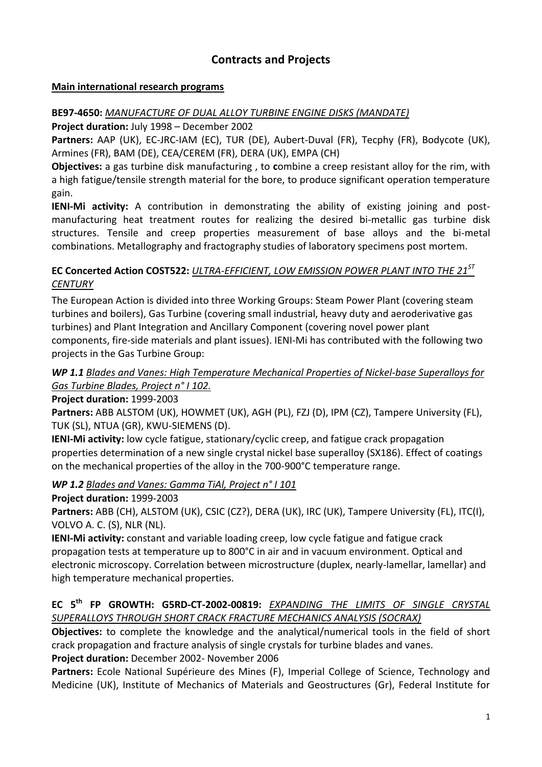## **Contracts and Projects**

#### **Main international research programs**

## **BE97-4650:** *MANUFACTURE OF DUAL ALLOY TURBINE ENGINE DISKS (MANDATE)*

**Project duration:** July 1998 – December 2002

**Partners:** AAP (UK), EC-JRC-IAM (EC), TUR (DE), Aubert-Duval (FR), Tecphy (FR), Bodycote (UK), Armines (FR), BAM (DE), CEA/CEREM (FR), DERA (UK), EMPA (CH)

**Objectives:** a gas turbine disk manufacturing , to **c**ombine a creep resistant alloy for the rim, with a high fatigue/tensile strength material for the bore, to produce significant operation temperature gain.

**IENI-Mi activity:** A contribution in demonstrating the ability of existing joining and postmanufacturing heat treatment routes for realizing the desired bi-metallic gas turbine disk structures. Tensile and creep properties measurement of base alloys and the bi-metal combinations. Metallography and fractography studies of laboratory specimens post mortem.

## **EC Concerted Action COST522:** *ULTRA-EFFICIENT, LOW EMISSION POWER PLANT INTO THE 21ST CENTURY*

The European Action is divided into three Working Groups: Steam Power Plant (covering steam turbines and boilers), Gas Turbine (covering small industrial, heavy duty and aeroderivative gas turbines) and Plant Integration and Ancillary Component (covering novel power plant components, fire-side materials and plant issues). IENI-Mi has contributed with the following two projects in the Gas Turbine Group:

#### *WP 1.1 Blades and Vanes: High Temperature Mechanical Properties of Nickel-base Superalloys for Gas Turbine Blades, Project n° I 102.*

## **Project duration:** 1999-2003

**Partners:** ABB ALSTOM (UK), HOWMET (UK), AGH (PL), FZJ (D), IPM (CZ), Tampere University (FL), TUK (SL), NTUA (GR), KWU-SIEMENS (D).

**IENI-Mi activity:** low cycle fatigue, stationary/cyclic creep, and fatigue crack propagation properties determination of a new single crystal nickel base superalloy (SX186). Effect of coatings on the mechanical properties of the alloy in the 700-900°C temperature range.

## *WP 1.2 Blades and Vanes: Gamma TiAl, Project n° I 101*

## **Project duration:** 1999-2003

**Partners:** ABB (CH), ALSTOM (UK), CSIC (CZ?), DERA (UK), IRC (UK), Tampere University (FL), ITC(I), VOLVO A. C. (S), NLR (NL).

**IENI-Mi activity:** constant and variable loading creep, low cycle fatigue and fatigue crack propagation tests at temperature up to 800°C in air and in vacuum environment. Optical and electronic microscopy. Correlation between microstructure (duplex, nearly-lamellar, lamellar) and high temperature mechanical properties.

## **EC 5th FP GROWTH: G5RD-CT-2002-00819:** *EXPANDING THE LIMITS OF SINGLE CRYSTAL SUPERALLOYS THROUGH SHORT CRACK FRACTURE MECHANICS ANALYSIS (SOCRAX)*

**Objectives:** to complete the knowledge and the analytical/numerical tools in the field of short crack propagation and fracture analysis of single crystals for turbine blades and vanes. **Project duration:** December 2002- November 2006

Partners: Ecole National Supérieure des Mines (F), Imperial College of Science, Technology and Medicine (UK), Institute of Mechanics of Materials and Geostructures (Gr), Federal Institute for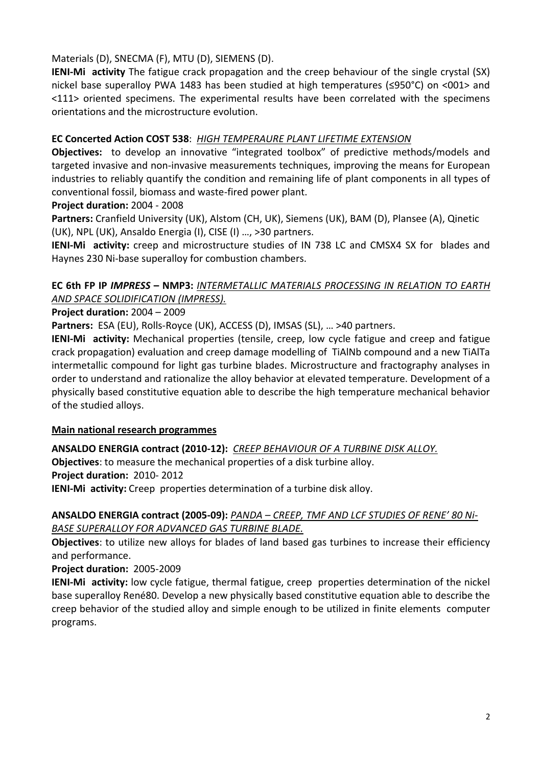Materials (D), SNECMA (F), MTU (D), SIEMENS (D).

**IENI-Mi activity** The fatigue crack propagation and the creep behaviour of the single crystal (SX) nickel base superalloy PWA 1483 has been studied at high temperatures (≤950°C) on <001> and <111> oriented specimens. The experimental results have been correlated with the specimens orientations and the microstructure evolution.

#### **EC Concerted Action COST 538**: *HIGH TEMPERAURE PLANT LIFETIME EXTENSION*

**Objectives:** to develop an innovative "integrated toolbox" of predictive methods/models and targeted invasive and non-invasive measurements techniques, improving the means for European industries to reliably quantify the condition and remaining life of plant components in all types of conventional fossil, biomass and waste-fired power plant.

#### **Project duration:** 2004 - 2008

**Partners:** Cranfield University (UK), Alstom (CH, UK), Siemens (UK), BAM (D), Plansee (A), Qinetic (UK), NPL (UK), Ansaldo Energia (I), CISE (I) …, >30 partners.

**IENI-Mi activity:** creep and microstructure studies of IN 738 LC and CMSX4 SX for blades and Haynes 230 Ni-base superalloy for combustion chambers.

## **EC 6th FP IP** *IMPRESS* **– NMP3:** *INTERMETALLIC MATERIALS PROCESSING IN RELATION TO EARTH AND SPACE SOLIDIFICATION (IMPRESS).*

#### **Project duration:** 2004 – 2009

**Partners:** ESA (EU), Rolls-Royce (UK), ACCESS (D), IMSAS (SL), … >40 partners.

**IENI-Mi activity:** Mechanical properties (tensile, creep, low cycle fatigue and creep and fatigue crack propagation) evaluation and creep damage modelling of TiAlNb compound and a new TiAlTa intermetallic compound for light gas turbine blades. Microstructure and fractography analyses in order to understand and rationalize the alloy behavior at elevated temperature. Development of a physically based constitutive equation able to describe the high temperature mechanical behavior of the studied alloys.

#### **Main national research programmes**

**ANSALDO ENERGIA contract (2010-12):** *CREEP BEHAVIOUR OF A TURBINE DISK ALLOY.*

**Objectives**: to measure the mechanical properties of a disk turbine alloy. **Project duration:** 2010- 2012

**IENI-Mi activity:** Creep properties determination of a turbine disk alloy.

#### **ANSALDO ENERGIA contract (2005-09):** *PANDA – CREEP, TMF AND LCF STUDIES OF RENE' 80 Ni-BASE SUPERALLOY FOR ADVANCED GAS TURBINE BLADE.*

**Objectives**: to utilize new alloys for blades of land based gas turbines to increase their efficiency and performance.

**Project duration:** 2005-2009

**IENI-Mi activity:** low cycle fatigue, thermal fatigue, creep properties determination of the nickel base superalloy René80. Develop a new physically based constitutive equation able to describe the creep behavior of the studied alloy and simple enough to be utilized in finite elements computer programs.